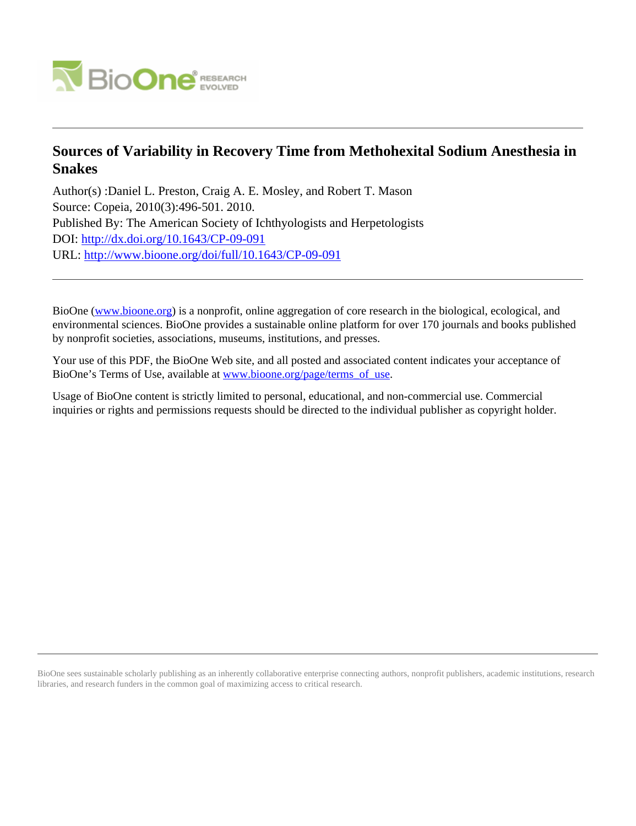

# **Sources of Variability in Recovery Time from Methohexital Sodium Anesthesia in Snakes**

Author(s) :Daniel L. Preston, Craig A. E. Mosley, and Robert T. Mason Source: Copeia, 2010(3):496-501. 2010. Published By: The American Society of Ichthyologists and Herpetologists DOI:<http://dx.doi.org/10.1643/CP-09-091> URL: <http://www.bioone.org/doi/full/10.1643/CP-09-091>

BioOne [\(www.bioone.org\)](http://www.bioone.org) is a nonprofit, online aggregation of core research in the biological, ecological, and environmental sciences. BioOne provides a sustainable online platform for over 170 journals and books published by nonprofit societies, associations, museums, institutions, and presses.

Your use of this PDF, the BioOne Web site, and all posted and associated content indicates your acceptance of BioOne's Terms of Use, available at [www.bioone.org/page/terms\\_of\\_use.](http://www.bioone.org/page/terms_of_use)

Usage of BioOne content is strictly limited to personal, educational, and non-commercial use. Commercial inquiries or rights and permissions requests should be directed to the individual publisher as copyright holder.

BioOne sees sustainable scholarly publishing as an inherently collaborative enterprise connecting authors, nonprofit publishers, academic institutions, research libraries, and research funders in the common goal of maximizing access to critical research.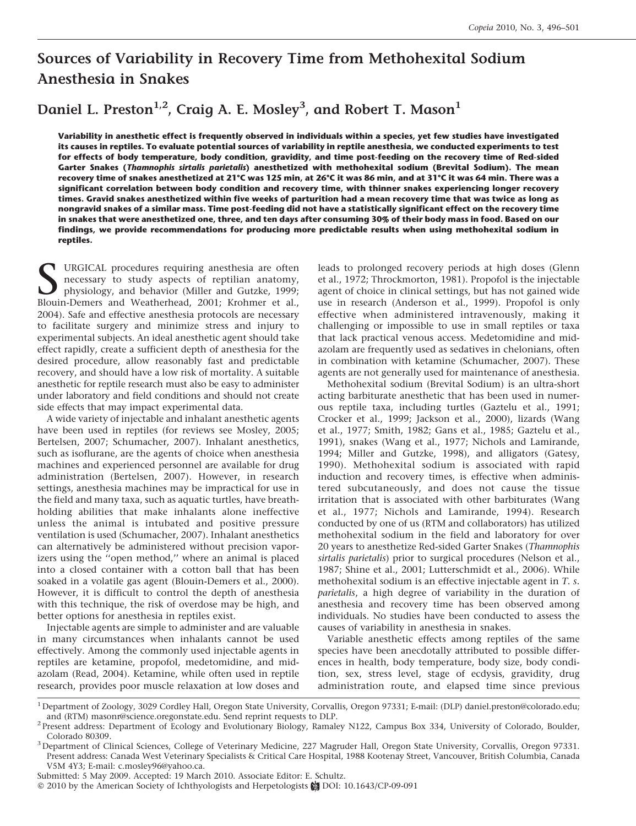# Sources of Variability in Recovery Time from Methohexital Sodium Anesthesia in Snakes

Daniel L. Preston $^{1,2}$ , Craig A. E. Mosley $^3$ , and Robert T. Mason $^1$ 

Variability in anesthetic effect is frequently observed in individuals within a species, yet few studies have investigated its causes in reptiles. To evaluate potential sources of variability in reptile anesthesia, we conducted experiments to test for effects of body temperature, body condition, gravidity, and time post-feeding on the recovery time of Red-sided Garter Snakes (Thamnophis sirtalis parietalis) anesthetized with methohexital sodium (Brevital Sodium). The mean recovery time of snakes anesthetized at 21°C was 125 min, at 26°C it was 86 min, and at 31°C it was 64 min. There was a significant correlation between body condition and recovery time, with thinner snakes experiencing longer recovery times. Gravid snakes anesthetized within five weeks of parturition had a mean recovery time that was twice as long as nongravid snakes of a similar mass. Time post-feeding did not have a statistically significant effect on the recovery time in snakes that were anesthetized one, three, and ten days after consuming 30% of their body mass in food. Based on our findings, we provide recommendations for producing more predictable results when using methohexital sodium in reptiles.

URGICAL procedures requiring anesthesia are often necessary to study aspects of reptilian anatomy, physiology, and behavior (Miller and Gutzke, 1999; Blouin-Demers and Weatherhead, 2001; Krohmer et al., 2004). Safe and effective anesthesia protocols are necessary to facilitate surgery and minimize stress and injury to experimental subjects. An ideal anesthetic agent should take effect rapidly, create a sufficient depth of anesthesia for the desired procedure, allow reasonably fast and predictable recovery, and should have a low risk of mortality. A suitable anesthetic for reptile research must also be easy to administer under laboratory and field conditions and should not create side effects that may impact experimental data.

A wide variety of injectable and inhalant anesthetic agents have been used in reptiles (for reviews see Mosley, 2005; Bertelsen, 2007; Schumacher, 2007). Inhalant anesthetics, such as isoflurane, are the agents of choice when anesthesia machines and experienced personnel are available for drug administration (Bertelsen, 2007). However, in research settings, anesthesia machines may be impractical for use in the field and many taxa, such as aquatic turtles, have breathholding abilities that make inhalants alone ineffective unless the animal is intubated and positive pressure ventilation is used (Schumacher, 2007). Inhalant anesthetics can alternatively be administered without precision vaporizers using the ''open method,'' where an animal is placed into a closed container with a cotton ball that has been soaked in a volatile gas agent (Blouin-Demers et al., 2000). However, it is difficult to control the depth of anesthesia with this technique, the risk of overdose may be high, and better options for anesthesia in reptiles exist.

Injectable agents are simple to administer and are valuable in many circumstances when inhalants cannot be used effectively. Among the commonly used injectable agents in reptiles are ketamine, propofol, medetomidine, and midazolam (Read, 2004). Ketamine, while often used in reptile research, provides poor muscle relaxation at low doses and leads to prolonged recovery periods at high doses (Glenn et al., 1972; Throckmorton, 1981). Propofol is the injectable agent of choice in clinical settings, but has not gained wide use in research (Anderson et al., 1999). Propofol is only effective when administered intravenously, making it challenging or impossible to use in small reptiles or taxa that lack practical venous access. Medetomidine and midazolam are frequently used as sedatives in chelonians, often in combination with ketamine (Schumacher, 2007). These agents are not generally used for maintenance of anesthesia.

Methohexital sodium (Brevital Sodium) is an ultra-short acting barbiturate anesthetic that has been used in numerous reptile taxa, including turtles (Gaztelu et al., 1991; Crocker et al., 1999; Jackson et al., 2000), lizards (Wang et al., 1977; Smith, 1982; Gans et al., 1985; Gaztelu et al., 1991), snakes (Wang et al., 1977; Nichols and Lamirande, 1994; Miller and Gutzke, 1998), and alligators (Gatesy, 1990). Methohexital sodium is associated with rapid induction and recovery times, is effective when administered subcutaneously, and does not cause the tissue irritation that is associated with other barbiturates (Wang et al., 1977; Nichols and Lamirande, 1994). Research conducted by one of us (RTM and collaborators) has utilized methohexital sodium in the field and laboratory for over 20 years to anesthetize Red-sided Garter Snakes (Thamnophis sirtalis parietalis) prior to surgical procedures (Nelson et al., 1987; Shine et al., 2001; Lutterschmidt et al., 2006). While methohexital sodium is an effective injectable agent in T. s. parietalis, a high degree of variability in the duration of anesthesia and recovery time has been observed among individuals. No studies have been conducted to assess the causes of variability in anesthesia in snakes.

Variable anesthetic effects among reptiles of the same species have been anecdotally attributed to possible differences in health, body temperature, body size, body condition, sex, stress level, stage of ecdysis, gravidity, drug administration route, and elapsed time since previous

Submitted: 5 May 2009. Accepted: 19 March 2010. Associate Editor: E. Schultz.

© 2010 by the American Society of Ichthyologists and Herpetologists @ DOI: 10.1643/CP-09-091

<sup>1</sup>Department of Zoology, 3029 Cordley Hall, Oregon State University, Corvallis, Oregon 97331; E-mail: (DLP) daniel.preston@colorado.edu; and (RTM) masonr@science.oregonstate.edu. Send reprint requests to DLP. 2 Present address: Department of Ecology and Evolutionary Biology, Ramaley N122, Campus Box 334, University of Colorado, Boulder,

Colorado 80309.<br><sup>3</sup>Department of Clinical Sciences, College of Veterinary Medicine, 227 Magruder Hall, Oregon State University, Corvallis, Oregon 97331.

Present address: Canada West Veterinary Specialists & Critical Care Hospital, 1988 Kootenay Street, Vancouver, British Columbia, Canada V5M 4Y3; E-mail: c.mosley96@yahoo.ca.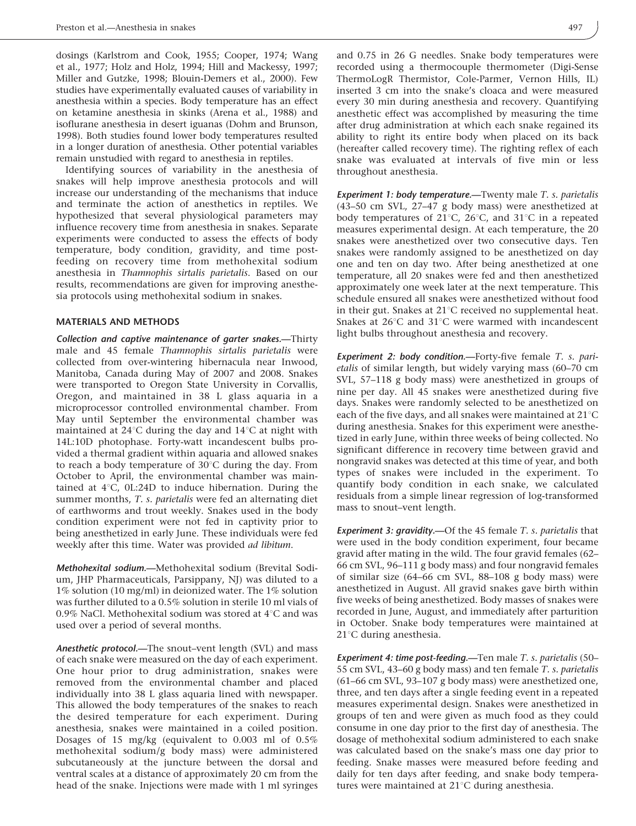dosings (Karlstrom and Cook, 1955; Cooper, 1974; Wang et al., 1977; Holz and Holz, 1994; Hill and Mackessy, 1997; Miller and Gutzke, 1998; Blouin-Demers et al., 2000). Few studies have experimentally evaluated causes of variability in anesthesia within a species. Body temperature has an effect on ketamine anesthesia in skinks (Arena et al., 1988) and isoflurane anesthesia in desert iguanas (Dohm and Brunson, 1998). Both studies found lower body temperatures resulted in a longer duration of anesthesia. Other potential variables remain unstudied with regard to anesthesia in reptiles.

Identifying sources of variability in the anesthesia of snakes will help improve anesthesia protocols and will increase our understanding of the mechanisms that induce and terminate the action of anesthetics in reptiles. We hypothesized that several physiological parameters may influence recovery time from anesthesia in snakes. Separate experiments were conducted to assess the effects of body temperature, body condition, gravidity, and time postfeeding on recovery time from methohexital sodium anesthesia in Thamnophis sirtalis parietalis. Based on our results, recommendations are given for improving anesthesia protocols using methohexital sodium in snakes.

#### MATERIALS AND METHODS

Collection and captive maintenance of garter snakes.—Thirty male and 45 female Thamnophis sirtalis parietalis were collected from over-wintering hibernacula near Inwood, Manitoba, Canada during May of 2007 and 2008. Snakes were transported to Oregon State University in Corvallis, Oregon, and maintained in 38 L glass aquaria in a microprocessor controlled environmental chamber. From May until September the environmental chamber was maintained at  $24^{\circ}$ C during the day and  $14^{\circ}$ C at night with 14L:10D photophase. Forty-watt incandescent bulbs provided a thermal gradient within aquaria and allowed snakes to reach a body temperature of  $30^{\circ}$ C during the day. From October to April, the environmental chamber was maintained at  $4^{\circ}$ C, 0L:24D to induce hibernation. During the summer months, T. s. parietalis were fed an alternating diet of earthworms and trout weekly. Snakes used in the body condition experiment were not fed in captivity prior to being anesthetized in early June. These individuals were fed weekly after this time. Water was provided ad libitum.

Methohexital sodium.—Methohexital sodium (Brevital Sodium, JHP Pharmaceuticals, Parsippany, NJ) was diluted to a 1% solution (10 mg/ml) in deionized water. The 1% solution was further diluted to a 0.5% solution in sterile 10 ml vials of 0.9% NaCl. Methohexital sodium was stored at  $4^{\circ}$ C and was used over a period of several months.

Anesthetic protocol.—The snout–vent length (SVL) and mass of each snake were measured on the day of each experiment. One hour prior to drug administration, snakes were removed from the environmental chamber and placed individually into 38 L glass aquaria lined with newspaper. This allowed the body temperatures of the snakes to reach the desired temperature for each experiment. During anesthesia, snakes were maintained in a coiled position. Dosages of 15 mg/kg (equivalent to 0.003 ml of 0.5% methohexital sodium/g body mass) were administered subcutaneously at the juncture between the dorsal and ventral scales at a distance of approximately 20 cm from the head of the snake. Injections were made with 1 ml syringes

and 0.75 in 26 G needles. Snake body temperatures were recorded using a thermocouple thermometer (Digi-Sense ThermoLogR Thermistor, Cole-Parmer, Vernon Hills, IL) inserted 3 cm into the snake's cloaca and were measured every 30 min during anesthesia and recovery. Quantifying anesthetic effect was accomplished by measuring the time after drug administration at which each snake regained its ability to right its entire body when placed on its back (hereafter called recovery time). The righting reflex of each snake was evaluated at intervals of five min or less throughout anesthesia.

Experiment 1: body temperature.—Twenty male T. s. parietalis (43–50 cm SVL, 27–47 g body mass) were anesthetized at body temperatures of 21 $^{\circ}$ C, 26 $^{\circ}$ C, and 31 $^{\circ}$ C in a repeated measures experimental design. At each temperature, the 20 snakes were anesthetized over two consecutive days. Ten snakes were randomly assigned to be anesthetized on day one and ten on day two. After being anesthetized at one temperature, all 20 snakes were fed and then anesthetized approximately one week later at the next temperature. This schedule ensured all snakes were anesthetized without food in their gut. Snakes at  $21^{\circ}$ C received no supplemental heat. Snakes at  $26^{\circ}$ C and  $31^{\circ}$ C were warmed with incandescent light bulbs throughout anesthesia and recovery.

Experiment 2: body condition.—Forty-five female T. s. parietalis of similar length, but widely varying mass (60–70 cm SVL, 57–118 g body mass) were anesthetized in groups of nine per day. All 45 snakes were anesthetized during five days. Snakes were randomly selected to be anesthetized on each of the five days, and all snakes were maintained at  $21^{\circ}$ C during anesthesia. Snakes for this experiment were anesthetized in early June, within three weeks of being collected. No significant difference in recovery time between gravid and nongravid snakes was detected at this time of year, and both types of snakes were included in the experiment. To quantify body condition in each snake, we calculated residuals from a simple linear regression of log-transformed mass to snout–vent length.

Experiment 3: gravidity.—Of the 45 female  $T$ . s. parietalis that were used in the body condition experiment, four became gravid after mating in the wild. The four gravid females (62– 66 cm SVL, 96–111 g body mass) and four nongravid females of similar size (64–66 cm SVL, 88–108 g body mass) were anesthetized in August. All gravid snakes gave birth within five weeks of being anesthetized. Body masses of snakes were recorded in June, August, and immediately after parturition in October. Snake body temperatures were maintained at  $21^{\circ}$ C during anesthesia.

Experiment 4: time post-feeding.—Ten male T. s. parietalis (50– 55 cm SVL, 43–60 g body mass) and ten female T. s. parietalis (61–66 cm SVL, 93–107 g body mass) were anesthetized one, three, and ten days after a single feeding event in a repeated measures experimental design. Snakes were anesthetized in groups of ten and were given as much food as they could consume in one day prior to the first day of anesthesia. The dosage of methohexital sodium administered to each snake was calculated based on the snake's mass one day prior to feeding. Snake masses were measured before feeding and daily for ten days after feeding, and snake body temperatures were maintained at  $21^{\circ}$ C during anesthesia.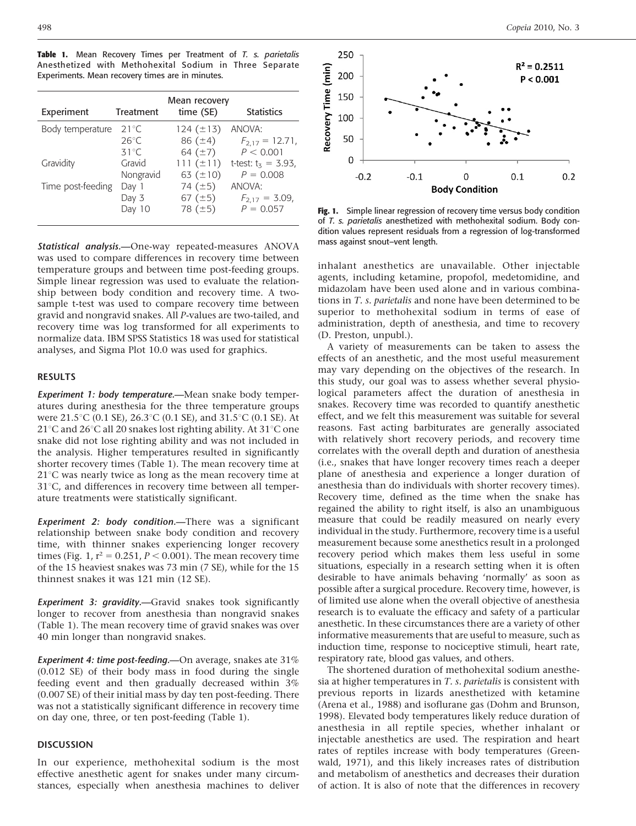Table 1. Mean Recovery Times per Treatment of T. s. parietalis Anesthetized with Methohexital Sodium in Three Separate Experiments. Mean recovery times are in minutes.

| Experiment        | <b>Treatment</b> | Mean recovery<br>time (SE) | <b>Statistics</b>      |
|-------------------|------------------|----------------------------|------------------------|
| Body temperature  | $21^{\circ}$ C   | 124 $(\pm 13)$             | ANOVA:                 |
|                   | $26^{\circ}$ C   | 86 $(\pm 4)$               | $F_{2,17} = 12.71$ ,   |
|                   | $31^{\circ}$ C   | 64 $(\pm 7)$               | P < 0.001              |
| Gravidity         | Gravid           | 111 $(\pm 11)$             | t-test: $t_5 = 3.93$ , |
|                   | Nongravid        | 63 $(\pm 10)$              | $P = 0.008$            |
| Time post-feeding | Day 1            | 74 $(\pm 5)$               | ANOVA:                 |
|                   | Day 3            | 67 $(\pm 5)$               | $F_{2,17} = 3.09$ ,    |
|                   | Day 10           | 78 $(\pm 5)$               | $P = 0.057$            |

Statistical analysis.--One-way repeated-measures ANOVA was used to compare differences in recovery time between temperature groups and between time post-feeding groups. Simple linear regression was used to evaluate the relationship between body condition and recovery time. A twosample t-test was used to compare recovery time between gravid and nongravid snakes. All P-values are two-tailed, and recovery time was log transformed for all experiments to normalize data. IBM SPSS Statistics 18 was used for statistical analyses, and Sigma Plot 10.0 was used for graphics.

### RESULTS

Experiment 1: body temperature.—Mean snake body temperatures during anesthesia for the three temperature groups were 21.5°C (0.1 SE), 26.3°C (0.1 SE), and 31.5°C (0.1 SE). At  $21^{\circ}$ C and  $26^{\circ}$ C all 20 snakes lost righting ability. At  $31^{\circ}$ C one snake did not lose righting ability and was not included in the analysis. Higher temperatures resulted in significantly shorter recovery times (Table 1). The mean recovery time at  $21^{\circ}$ C was nearly twice as long as the mean recovery time at  $31^{\circ}$ C, and differences in recovery time between all temperature treatments were statistically significant.

Experiment 2: body condition.—There was a significant relationship between snake body condition and recovery time, with thinner snakes experiencing longer recovery times (Fig. 1,  $r^2 = 0.251$ ,  $P < 0.001$ ). The mean recovery time of the 15 heaviest snakes was 73 min (7 SE), while for the 15 thinnest snakes it was 121 min (12 SE).

**Experiment 3: gravidity.** Gravid snakes took significantly longer to recover from anesthesia than nongravid snakes (Table 1). The mean recovery time of gravid snakes was over 40 min longer than nongravid snakes.

Experiment 4: time post-feeding.—On average, snakes ate 31% (0.012 SE) of their body mass in food during the single feeding event and then gradually decreased within 3% (0.007 SE) of their initial mass by day ten post-feeding. There was not a statistically significant difference in recovery time on day one, three, or ten post-feeding (Table 1).

## DISCUSSION

In our experience, methohexital sodium is the most effective anesthetic agent for snakes under many circumstances, especially when anesthesia machines to deliver



Fig. 1. Simple linear regression of recovery time versus body condition of T. s. parietalis anesthetized with methohexital sodium. Body condition values represent residuals from a regression of log-transformed mass against snout–vent length.

inhalant anesthetics are unavailable. Other injectable agents, including ketamine, propofol, medetomidine, and midazolam have been used alone and in various combinations in T. s. parietalis and none have been determined to be superior to methohexital sodium in terms of ease of administration, depth of anesthesia, and time to recovery (D. Preston, unpubl.).

A variety of measurements can be taken to assess the effects of an anesthetic, and the most useful measurement may vary depending on the objectives of the research. In this study, our goal was to assess whether several physiological parameters affect the duration of anesthesia in snakes. Recovery time was recorded to quantify anesthetic effect, and we felt this measurement was suitable for several reasons. Fast acting barbiturates are generally associated with relatively short recovery periods, and recovery time correlates with the overall depth and duration of anesthesia (i.e., snakes that have longer recovery times reach a deeper plane of anesthesia and experience a longer duration of anesthesia than do individuals with shorter recovery times). Recovery time, defined as the time when the snake has regained the ability to right itself, is also an unambiguous measure that could be readily measured on nearly every individual in the study. Furthermore, recovery time is a useful measurement because some anesthetics result in a prolonged recovery period which makes them less useful in some situations, especially in a research setting when it is often desirable to have animals behaving 'normally' as soon as possible after a surgical procedure. Recovery time, however, is of limited use alone when the overall objective of anesthesia research is to evaluate the efficacy and safety of a particular anesthetic. In these circumstances there are a variety of other informative measurements that are useful to measure, such as induction time, response to nociceptive stimuli, heart rate, respiratory rate, blood gas values, and others.

The shortened duration of methohexital sodium anesthesia at higher temperatures in  $T$ . s. parietalis is consistent with previous reports in lizards anesthetized with ketamine (Arena et al., 1988) and isoflurane gas (Dohm and Brunson, 1998). Elevated body temperatures likely reduce duration of anesthesia in all reptile species, whether inhalant or injectable anesthetics are used. The respiration and heart rates of reptiles increase with body temperatures (Greenwald, 1971), and this likely increases rates of distribution and metabolism of anesthetics and decreases their duration of action. It is also of note that the differences in recovery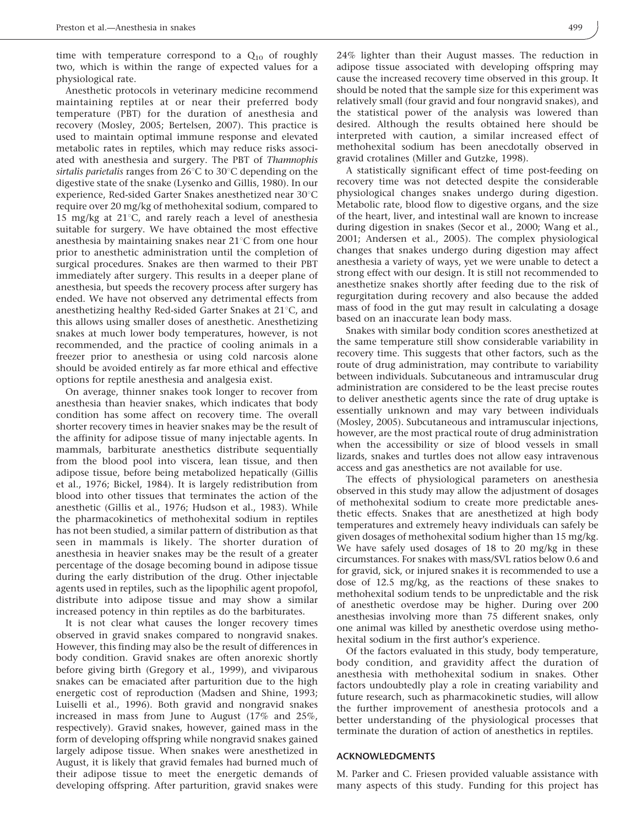time with temperature correspond to a  $Q_{10}$  of roughly two, which is within the range of expected values for a physiological rate.

Anesthetic protocols in veterinary medicine recommend maintaining reptiles at or near their preferred body temperature (PBT) for the duration of anesthesia and recovery (Mosley, 2005; Bertelsen, 2007). This practice is used to maintain optimal immune response and elevated metabolic rates in reptiles, which may reduce risks associated with anesthesia and surgery. The PBT of Thamnophis sirtalis parietalis ranges from  $26^{\circ}$ C to  $30^{\circ}$ C depending on the digestive state of the snake (Lysenko and Gillis, 1980). In our experience, Red-sided Garter Snakes anesthetized near  $30^{\circ}$ C require over 20 mg/kg of methohexital sodium, compared to 15 mg/kg at 21 $^{\circ}$ C, and rarely reach a level of anesthesia suitable for surgery. We have obtained the most effective anesthesia by maintaining snakes near  $21^{\circ}$ C from one hour prior to anesthetic administration until the completion of surgical procedures. Snakes are then warmed to their PBT immediately after surgery. This results in a deeper plane of anesthesia, but speeds the recovery process after surgery has ended. We have not observed any detrimental effects from anesthetizing healthy Red-sided Garter Snakes at  $21^{\circ}$ C, and this allows using smaller doses of anesthetic. Anesthetizing snakes at much lower body temperatures, however, is not recommended, and the practice of cooling animals in a freezer prior to anesthesia or using cold narcosis alone should be avoided entirely as far more ethical and effective options for reptile anesthesia and analgesia exist.

On average, thinner snakes took longer to recover from anesthesia than heavier snakes, which indicates that body condition has some affect on recovery time. The overall shorter recovery times in heavier snakes may be the result of the affinity for adipose tissue of many injectable agents. In mammals, barbiturate anesthetics distribute sequentially from the blood pool into viscera, lean tissue, and then adipose tissue, before being metabolized hepatically (Gillis et al., 1976; Bickel, 1984). It is largely redistribution from blood into other tissues that terminates the action of the anesthetic (Gillis et al., 1976; Hudson et al., 1983). While the pharmacokinetics of methohexital sodium in reptiles has not been studied, a similar pattern of distribution as that seen in mammals is likely. The shorter duration of anesthesia in heavier snakes may be the result of a greater percentage of the dosage becoming bound in adipose tissue during the early distribution of the drug. Other injectable agents used in reptiles, such as the lipophilic agent propofol, distribute into adipose tissue and may show a similar increased potency in thin reptiles as do the barbiturates.

It is not clear what causes the longer recovery times observed in gravid snakes compared to nongravid snakes. However, this finding may also be the result of differences in body condition. Gravid snakes are often anorexic shortly before giving birth (Gregory et al., 1999), and viviparous snakes can be emaciated after parturition due to the high energetic cost of reproduction (Madsen and Shine, 1993; Luiselli et al., 1996). Both gravid and nongravid snakes increased in mass from June to August (17% and 25%, respectively). Gravid snakes, however, gained mass in the form of developing offspring while nongravid snakes gained largely adipose tissue. When snakes were anesthetized in August, it is likely that gravid females had burned much of their adipose tissue to meet the energetic demands of developing offspring. After parturition, gravid snakes were

24% lighter than their August masses. The reduction in adipose tissue associated with developing offspring may cause the increased recovery time observed in this group. It should be noted that the sample size for this experiment was relatively small (four gravid and four nongravid snakes), and the statistical power of the analysis was lowered than desired. Although the results obtained here should be interpreted with caution, a similar increased effect of methohexital sodium has been anecdotally observed in gravid crotalines (Miller and Gutzke, 1998).

A statistically significant effect of time post-feeding on recovery time was not detected despite the considerable physiological changes snakes undergo during digestion. Metabolic rate, blood flow to digestive organs, and the size of the heart, liver, and intestinal wall are known to increase during digestion in snakes (Secor et al., 2000; Wang et al., 2001; Andersen et al., 2005). The complex physiological changes that snakes undergo during digestion may affect anesthesia a variety of ways, yet we were unable to detect a strong effect with our design. It is still not recommended to anesthetize snakes shortly after feeding due to the risk of regurgitation during recovery and also because the added mass of food in the gut may result in calculating a dosage based on an inaccurate lean body mass.

Snakes with similar body condition scores anesthetized at the same temperature still show considerable variability in recovery time. This suggests that other factors, such as the route of drug administration, may contribute to variability between individuals. Subcutaneous and intramuscular drug administration are considered to be the least precise routes to deliver anesthetic agents since the rate of drug uptake is essentially unknown and may vary between individuals (Mosley, 2005). Subcutaneous and intramuscular injections, however, are the most practical route of drug administration when the accessibility or size of blood vessels in small lizards, snakes and turtles does not allow easy intravenous access and gas anesthetics are not available for use.

The effects of physiological parameters on anesthesia observed in this study may allow the adjustment of dosages of methohexital sodium to create more predictable anesthetic effects. Snakes that are anesthetized at high body temperatures and extremely heavy individuals can safely be given dosages of methohexital sodium higher than 15 mg/kg. We have safely used dosages of 18 to 20 mg/kg in these circumstances. For snakes with mass/SVL ratios below 0.6 and for gravid, sick, or injured snakes it is recommended to use a dose of 12.5 mg/kg, as the reactions of these snakes to methohexital sodium tends to be unpredictable and the risk of anesthetic overdose may be higher. During over 200 anesthesias involving more than 75 different snakes, only one animal was killed by anesthetic overdose using methohexital sodium in the first author's experience.

Of the factors evaluated in this study, body temperature, body condition, and gravidity affect the duration of anesthesia with methohexital sodium in snakes. Other factors undoubtedly play a role in creating variability and future research, such as pharmacokinetic studies, will allow the further improvement of anesthesia protocols and a better understanding of the physiological processes that terminate the duration of action of anesthetics in reptiles.

#### ACKNOWLEDGMENTS

M. Parker and C. Friesen provided valuable assistance with many aspects of this study. Funding for this project has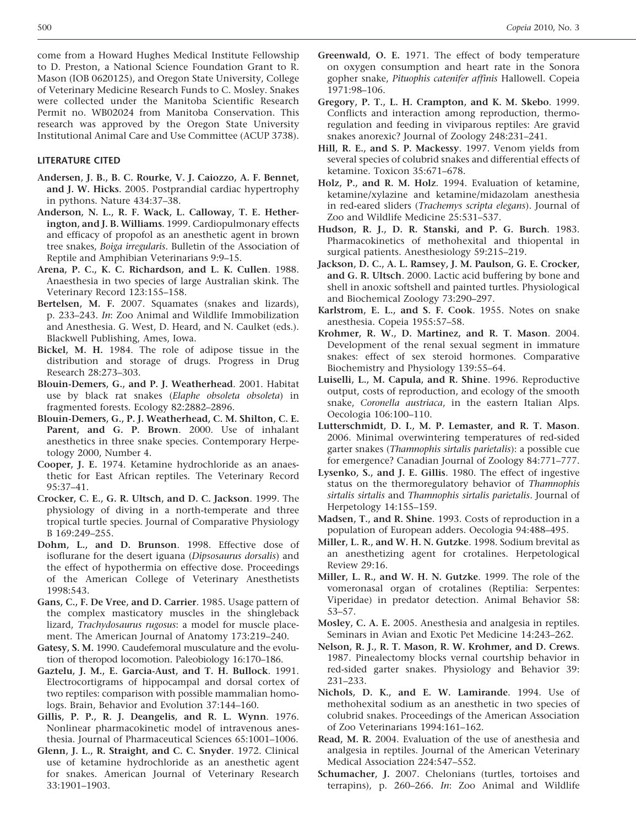come from a Howard Hughes Medical Institute Fellowship to D. Preston, a National Science Foundation Grant to R. Mason (IOB 0620125), and Oregon State University, College of Veterinary Medicine Research Funds to C. Mosley. Snakes were collected under the Manitoba Scientific Research Permit no. WB02024 from Manitoba Conservation. This research was approved by the Oregon State University Institutional Animal Care and Use Committee (ACUP 3738).

#### LITERATURE CITED

- Andersen, J. B., B. C. Rourke, V. J. Caiozzo, A. F. Bennet, and J. W. Hicks. 2005. Postprandial cardiac hypertrophy in pythons. Nature 434:37–38.
- Anderson, N. L., R. F. Wack, L. Calloway, T. E. Hetherington, and J. B. Williams. 1999. Cardiopulmonary effects and efficacy of propofol as an anesthetic agent in brown tree snakes, Boiga irregularis. Bulletin of the Association of Reptile and Amphibian Veterinarians 9:9–15.
- Arena, P. C., K. C. Richardson, and L. K. Cullen. 1988. Anaesthesia in two species of large Australian skink. The Veterinary Record 123:155–158.
- Bertelsen, M. F. 2007. Squamates (snakes and lizards), p. 233–243. In: Zoo Animal and Wildlife Immobilization and Anesthesia. G. West, D. Heard, and N. Caulket (eds.). Blackwell Publishing, Ames, Iowa.
- Bickel, M. H. 1984. The role of adipose tissue in the distribution and storage of drugs. Progress in Drug Research 28:273–303.
- Blouin-Demers, G., and P. J. Weatherhead. 2001. Habitat use by black rat snakes (Elaphe obsoleta obsoleta) in fragmented forests. Ecology 82:2882–2896.
- Blouin-Demers, G., P. J. Weatherhead, C. M. Shilton, C. E. Parent, and G. P. Brown. 2000. Use of inhalant anesthetics in three snake species. Contemporary Herpetology 2000, Number 4.
- Cooper, J. E. 1974. Ketamine hydrochloride as an anaesthetic for East African reptiles. The Veterinary Record 95:37–41.
- Crocker, C. E., G. R. Ultsch, and D. C. Jackson. 1999. The physiology of diving in a north-temperate and three tropical turtle species. Journal of Comparative Physiology B 169:249–255.
- Dohm, L., and D. Brunson. 1998. Effective dose of isoflurane for the desert iguana (Dipsosaurus dorsalis) and the effect of hypothermia on effective dose. Proceedings of the American College of Veterinary Anesthetists 1998:543.
- Gans, C., F. De Vree, and D. Carrier. 1985. Usage pattern of the complex masticatory muscles in the shingleback lizard, Trachydosaurus rugosus: a model for muscle placement. The American Journal of Anatomy 173:219–240.
- Gatesy, S. M. 1990. Caudefemoral musculature and the evolution of theropod locomotion. Paleobiology 16:170–186.
- Gaztelu, J. M., E. Garcia-Aust, and T. H. Bullock. 1991. Electrocortigrams of hippocampal and dorsal cortex of two reptiles: comparison with possible mammalian homologs. Brain, Behavior and Evolution 37:144–160.
- Gillis, P. P., R. J. Deangelis, and R. L. Wynn. 1976. Nonlinear pharmacokinetic model of intravenous anesthesia. Journal of Pharmaceutical Sciences 65:1001–1006.
- Glenn, J. L., R. Straight, and C. C. Snyder. 1972. Clinical use of ketamine hydrochloride as an anesthetic agent for snakes. American Journal of Veterinary Research 33:1901–1903.
- Greenwald, O. E. 1971. The effect of body temperature on oxygen consumption and heart rate in the Sonora gopher snake, Pituophis catenifer affinis Hallowell. Copeia 1971:98–106.
- Gregory, P. T., L. H. Crampton, and K. M. Skebo. 1999. Conflicts and interaction among reproduction, thermoregulation and feeding in viviparous reptiles: Are gravid snakes anorexic? Journal of Zoology 248:231–241.
- Hill, R. E., and S. P. Mackessy. 1997. Venom yields from several species of colubrid snakes and differential effects of ketamine. Toxicon 35:671–678.
- Holz, P., and R. M. Holz. 1994. Evaluation of ketamine, ketamine/xylazine and ketamine/midazolam anesthesia in red-eared sliders (Trachemys scripta elegans). Journal of Zoo and Wildlife Medicine 25:531–537.
- Hudson, R. J., D. R. Stanski, and P. G. Burch. 1983. Pharmacokinetics of methohexital and thiopental in surgical patients. Anesthesiology 59:215–219.
- Jackson, D. C., A. L. Ramsey, J. M. Paulson, G. E. Crocker, and G. R. Ultsch. 2000. Lactic acid buffering by bone and shell in anoxic softshell and painted turtles. Physiological and Biochemical Zoology 73:290–297.
- Karlstrom, E. L., and S. F. Cook. 1955. Notes on snake anesthesia. Copeia 1955:57–58.
- Krohmer, R. W., D. Martinez, and R. T. Mason. 2004. Development of the renal sexual segment in immature snakes: effect of sex steroid hormones. Comparative Biochemistry and Physiology 139:55–64.
- Luiselli, L., M. Capula, and R. Shine. 1996. Reproductive output, costs of reproduction, and ecology of the smooth snake, Coronella austriaca, in the eastern Italian Alps. Oecologia 106:100–110.
- Lutterschmidt, D. I., M. P. Lemaster, and R. T. Mason. 2006. Minimal overwintering temperatures of red-sided garter snakes (Thamnophis sirtalis parietalis): a possible cue for emergence? Canadian Journal of Zoology 84:771–777.
- Lysenko, S., and J. E. Gillis. 1980. The effect of ingestive status on the thermoregulatory behavior of Thamnophis sirtalis sirtalis and Thamnophis sirtalis parietalis. Journal of Herpetology 14:155–159.
- Madsen, T., and R. Shine. 1993. Costs of reproduction in a population of European adders. Oecologia 94:488–495.
- Miller, L. R., and W. H. N. Gutzke. 1998. Sodium brevital as an anesthetizing agent for crotalines. Herpetological Review 29:16.
- Miller, L. R., and W. H. N. Gutzke. 1999. The role of the vomeronasal organ of crotalines (Reptilia: Serpentes: Viperidae) in predator detection. Animal Behavior 58: 53–57.
- Mosley, C. A. E. 2005. Anesthesia and analgesia in reptiles. Seminars in Avian and Exotic Pet Medicine 14:243–262.
- Nelson, R. J., R. T. Mason, R. W. Krohmer, and D. Crews. 1987. Pinealectomy blocks vernal courtship behavior in red-sided garter snakes. Physiology and Behavior 39: 231–233.
- Nichols, D. K., and E. W. Lamirande. 1994. Use of methohexital sodium as an anesthetic in two species of colubrid snakes. Proceedings of the American Association of Zoo Veterinarians 1994:161–162.
- Read, M. R. 2004. Evaluation of the use of anesthesia and analgesia in reptiles. Journal of the American Veterinary Medical Association 224:547–552.
- Schumacher, J. 2007. Chelonians (turtles, tortoises and terrapins), p. 260–266. In: Zoo Animal and Wildlife